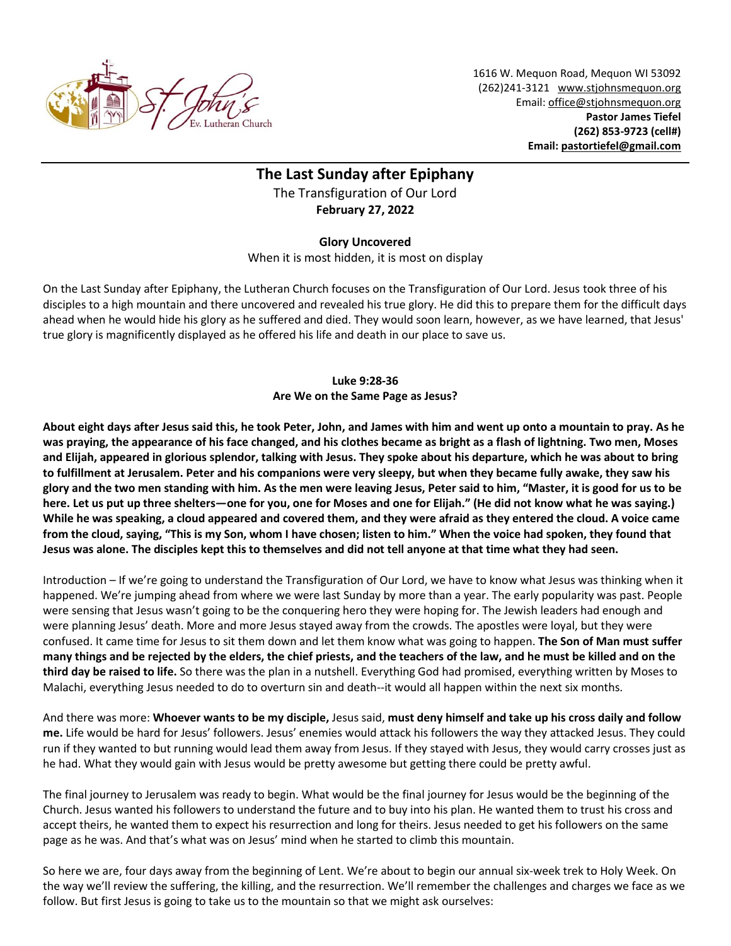

1616 W. Mequon Road, Mequon WI 53092 (262)241-3121 [www.stjohnsmequon.org](http://www.stjohnsmequon.org/) Email[: office@stjohnsmequon.org](mailto:office@stjohnsmequon.org) **Pastor James Tiefel (262) 853-9723 (cell#) Email: [pastortiefel@gmail.com](mailto:pastortiefel@gmail.com)**

## **The Last Sunday after Epiphany** The Transfiguration of Our Lord **February 27, 2022**

## **Glory Uncovered**

When it is most hidden, it is most on display

On the Last Sunday after Epiphany, the Lutheran Church focuses on the Transfiguration of Our Lord. Jesus took three of his disciples to a high mountain and there uncovered and revealed his true glory. He did this to prepare them for the difficult days ahead when he would hide his glory as he suffered and died. They would soon learn, however, as we have learned, that Jesus' true glory is magnificently displayed as he offered his life and death in our place to save us.

## **Luke 9:28-36 Are We on the Same Page as Jesus?**

**About eight days after Jesus said this, he took Peter, John, and James with him and went up onto a mountain to pray. As he was praying, the appearance of his face changed, and his clothes became as bright as a flash of lightning. Two men, Moses and Elijah, appeared in glorious splendor, talking with Jesus. They spoke about his departure, which he was about to bring to fulfillment at Jerusalem. Peter and his companions were very sleepy, but when they became fully awake, they saw his glory and the two men standing with him. As the men were leaving Jesus, Peter said to him, "Master, it is good for us to be here. Let us put up three shelters—one for you, one for Moses and one for Elijah." (He did not know what he was saying.) While he was speaking, a cloud appeared and covered them, and they were afraid as they entered the cloud. A voice came from the cloud, saying, "This is my Son, whom I have chosen; listen to him." When the voice had spoken, they found that Jesus was alone. The disciples kept this to themselves and did not tell anyone at that time what they had seen.**

Introduction – If we're going to understand the Transfiguration of Our Lord, we have to know what Jesus was thinking when it happened. We're jumping ahead from where we were last Sunday by more than a year. The early popularity was past. People were sensing that Jesus wasn't going to be the conquering hero they were hoping for. The Jewish leaders had enough and were planning Jesus' death. More and more Jesus stayed away from the crowds. The apostles were loyal, but they were confused. It came time for Jesus to sit them down and let them know what was going to happen. **The Son of Man must suffer many things and be rejected by the elders, the chief priests, and the teachers of the law, and he must be killed and on the third day be raised to life.** So there was the plan in a nutshell. Everything God had promised, everything written by Moses to Malachi, everything Jesus needed to do to overturn sin and death--it would all happen within the next six months.

And there was more: **Whoever wants to be my disciple,** Jesus said, **must deny himself and take up his cross daily and follow me.** Life would be hard for Jesus' followers. Jesus' enemies would attack his followers the way they attacked Jesus. They could run if they wanted to but running would lead them away from Jesus. If they stayed with Jesus, they would carry crosses just as he had. What they would gain with Jesus would be pretty awesome but getting there could be pretty awful.

The final journey to Jerusalem was ready to begin. What would be the final journey for Jesus would be the beginning of the Church. Jesus wanted his followers to understand the future and to buy into his plan. He wanted them to trust his cross and accept theirs, he wanted them to expect his resurrection and long for theirs. Jesus needed to get his followers on the same page as he was. And that's what was on Jesus' mind when he started to climb this mountain.

So here we are, four days away from the beginning of Lent. We're about to begin our annual six-week trek to Holy Week. On the way we'll review the suffering, the killing, and the resurrection. We'll remember the challenges and charges we face as we follow. But first Jesus is going to take us to the mountain so that we might ask ourselves: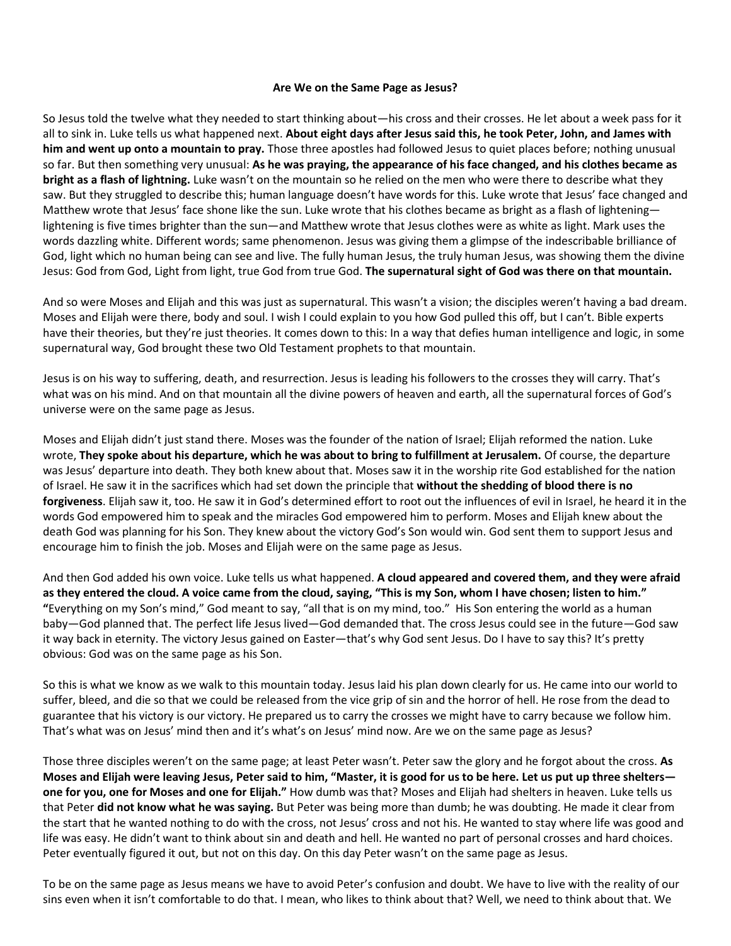## **Are We on the Same Page as Jesus?**

So Jesus told the twelve what they needed to start thinking about—his cross and their crosses. He let about a week pass for it all to sink in. Luke tells us what happened next. **About eight days after Jesus said this, he took Peter, John, and James with him and went up onto a mountain to pray.** Those three apostles had followed Jesus to quiet places before; nothing unusual so far. But then something very unusual: **As he was praying, the appearance of his face changed, and his clothes became as bright as a flash of lightning.** Luke wasn't on the mountain so he relied on the men who were there to describe what they saw. But they struggled to describe this; human language doesn't have words for this. Luke wrote that Jesus' face changed and Matthew wrote that Jesus' face shone like the sun. Luke wrote that his clothes became as bright as a flash of lightening lightening is five times brighter than the sun—and Matthew wrote that Jesus clothes were as white as light. Mark uses the words dazzling white. Different words; same phenomenon. Jesus was giving them a glimpse of the indescribable brilliance of God, light which no human being can see and live. The fully human Jesus, the truly human Jesus, was showing them the divine Jesus: God from God, Light from light, true God from true God. **The supernatural sight of God was there on that mountain.**

And so were Moses and Elijah and this was just as supernatural. This wasn't a vision; the disciples weren't having a bad dream. Moses and Elijah were there, body and soul. I wish I could explain to you how God pulled this off, but I can't. Bible experts have their theories, but they're just theories. It comes down to this: In a way that defies human intelligence and logic, in some supernatural way, God brought these two Old Testament prophets to that mountain.

Jesus is on his way to suffering, death, and resurrection. Jesus is leading his followers to the crosses they will carry. That's what was on his mind. And on that mountain all the divine powers of heaven and earth, all the supernatural forces of God's universe were on the same page as Jesus.

Moses and Elijah didn't just stand there. Moses was the founder of the nation of Israel; Elijah reformed the nation. Luke wrote, **They spoke about his departure, which he was about to bring to fulfillment at Jerusalem.** Of course, the departure was Jesus' departure into death. They both knew about that. Moses saw it in the worship rite God established for the nation of Israel. He saw it in the sacrifices which had set down the principle that **without the shedding of blood there is no forgiveness**. Elijah saw it, too. He saw it in God's determined effort to root out the influences of evil in Israel, he heard it in the words God empowered him to speak and the miracles God empowered him to perform. Moses and Elijah knew about the death God was planning for his Son. They knew about the victory God's Son would win. God sent them to support Jesus and encourage him to finish the job. Moses and Elijah were on the same page as Jesus.

And then God added his own voice. Luke tells us what happened. **A cloud appeared and covered them, and they were afraid as they entered the cloud. A voice came from the cloud, saying, "This is my Son, whom I have chosen; listen to him." "**Everything on my Son's mind," God meant to say, "all that is on my mind, too." His Son entering the world as a human baby—God planned that. The perfect life Jesus lived—God demanded that. The cross Jesus could see in the future—God saw it way back in eternity. The victory Jesus gained on Easter—that's why God sent Jesus. Do I have to say this? It's pretty obvious: God was on the same page as his Son.

So this is what we know as we walk to this mountain today. Jesus laid his plan down clearly for us. He came into our world to suffer, bleed, and die so that we could be released from the vice grip of sin and the horror of hell. He rose from the dead to guarantee that his victory is our victory. He prepared us to carry the crosses we might have to carry because we follow him. That's what was on Jesus' mind then and it's what's on Jesus' mind now. Are we on the same page as Jesus?

Those three disciples weren't on the same page; at least Peter wasn't. Peter saw the glory and he forgot about the cross. **As Moses and Elijah were leaving Jesus, Peter said to him, "Master, it is good for us to be here. Let us put up three shelters one for you, one for Moses and one for Elijah."** How dumb was that? Moses and Elijah had shelters in heaven. Luke tells us that Peter **did not know what he was saying.** But Peter was being more than dumb; he was doubting. He made it clear from the start that he wanted nothing to do with the cross, not Jesus' cross and not his. He wanted to stay where life was good and life was easy. He didn't want to think about sin and death and hell. He wanted no part of personal crosses and hard choices. Peter eventually figured it out, but not on this day. On this day Peter wasn't on the same page as Jesus.

To be on the same page as Jesus means we have to avoid Peter's confusion and doubt. We have to live with the reality of our sins even when it isn't comfortable to do that. I mean, who likes to think about that? Well, we need to think about that. We